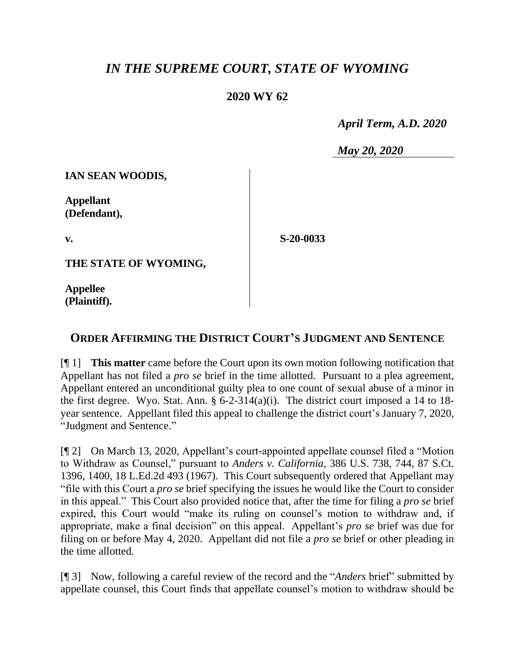## *IN THE SUPREME COURT, STATE OF WYOMING*

## **2020 WY 62**

 *April Term, A.D. 2020*

*May 20, 2020*

**IAN SEAN WOODIS,**

**Appellant (Defendant),**

**v.**

**S-20-0033**

**THE STATE OF WYOMING,**

**Appellee (Plaintiff).**

## **ORDER AFFIRMING THE DISTRICT COURT'S JUDGMENT AND SENTENCE**

[¶ 1] **This matter** came before the Court upon its own motion following notification that Appellant has not filed a *pro se* brief in the time allotted. Pursuant to a plea agreement, Appellant entered an unconditional guilty plea to one count of sexual abuse of a minor in the first degree. Wyo. Stat. Ann. § 6-2-314(a)(i). The district court imposed a 14 to 18 year sentence. Appellant filed this appeal to challenge the district court's January 7, 2020, "Judgment and Sentence."

[¶ 2] On March 13, 2020, Appellant's court-appointed appellate counsel filed a "Motion to Withdraw as Counsel," pursuant to *Anders v. California*, 386 U.S. 738, 744, 87 S.Ct. 1396, 1400, 18 L.Ed.2d 493 (1967). This Court subsequently ordered that Appellant may "file with this Court a *pro se* brief specifying the issues he would like the Court to consider in this appeal." This Court also provided notice that, after the time for filing a *pro se* brief expired, this Court would "make its ruling on counsel's motion to withdraw and, if appropriate, make a final decision" on this appeal. Appellant's *pro se* brief was due for filing on or before May 4, 2020. Appellant did not file a *pro se* brief or other pleading in the time allotted.

[¶ 3] Now, following a careful review of the record and the "*Anders* brief" submitted by appellate counsel, this Court finds that appellate counsel's motion to withdraw should be